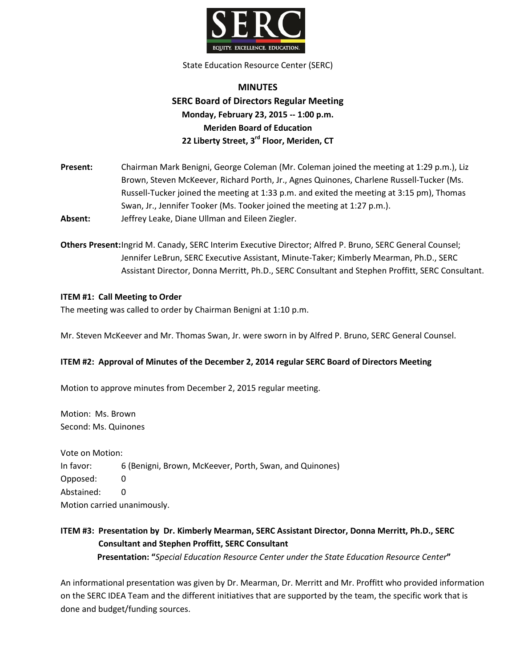

State Education Resource Center (SERC)

# **MINUTES SERC Board of Directors Regular Meeting Monday, February 23, 2015 -- 1:00 p.m. Meriden Board of Education 22 Liberty Street, 3rd Floor, Meriden, CT**

**Present:** Chairman Mark Benigni, George Coleman (Mr. Coleman joined the meeting at 1:29 p.m.), Liz Brown, Steven McKeever, Richard Porth, Jr., Agnes Quinones, Charlene Russell-Tucker (Ms. Russell-Tucker joined the meeting at 1:33 p.m. and exited the meeting at 3:15 pm), Thomas Swan, Jr., Jennifer Tooker (Ms. Tooker joined the meeting at 1:27 p.m.). **Absent:** Jeffrey Leake, Diane Ullman and Eileen Ziegler.

**Others Present:**Ingrid M. Canady, SERC Interim Executive Director; Alfred P. Bruno, SERC General Counsel; Jennifer LeBrun, SERC Executive Assistant, Minute-Taker; Kimberly Mearman, Ph.D., SERC Assistant Director, Donna Merritt, Ph.D., SERC Consultant and Stephen Proffitt, SERC Consultant.

### **ITEM #1: Call Meeting to Order**

The meeting was called to order by Chairman Benigni at 1:10 p.m.

Mr. Steven McKeever and Mr. Thomas Swan, Jr. were sworn in by Alfred P. Bruno, SERC General Counsel.

### **ITEM #2: Approval of Minutes of the December 2, 2014 regular SERC Board of Directors Meeting**

Motion to approve minutes from December 2, 2015 regular meeting.

Motion: Ms. Brown Second: Ms. Quinones

Vote on Motion: In favor: 6 (Benigni, Brown, McKeever, Porth, Swan, and Quinones) Opposed: 0 Abstained: 0 Motion carried unanimously.

## **ITEM #3: Presentation by Dr. Kimberly Mearman, SERC Assistant Director, Donna Merritt, Ph.D., SERC Consultant and Stephen Proffitt, SERC Consultant Presentation: "***Special Education Resource Center under the State Education Resource Center***"**

An informational presentation was given by Dr. Mearman, Dr. Merritt and Mr. Proffitt who provided information on the SERC IDEA Team and the different initiatives that are supported by the team, the specific work that is done and budget/funding sources.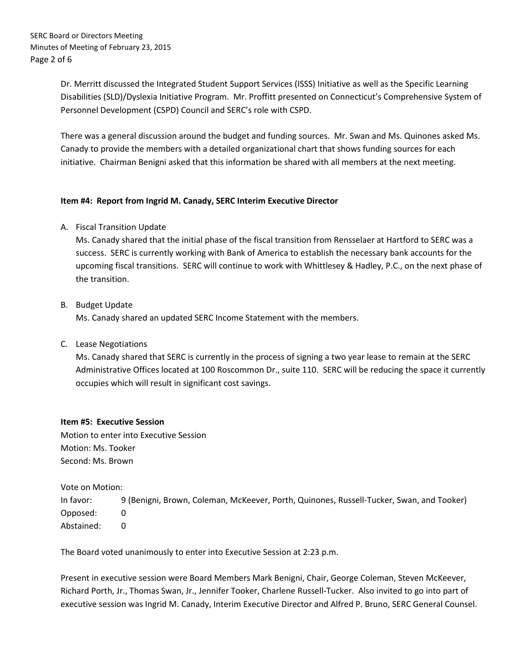Dr. Merritt discussed the Integrated Student Support Services (ISSS) Initiative as well as the Specific Learning Disabilities (SLD)/Dyslexia Initiative Program. Mr. Proffitt presented on Connecticut's Comprehensive System of Personnel Development (CSPD) Council and SERC's role with CSPD.

There was a general discussion around the budget and funding sources. Mr. Swan and Ms. Quinones asked Ms. Canady to provide the members with a detailed organizational chart that shows funding sources for each initiative. Chairman Benigni asked that this information be shared with all members at the next meeting.

### **Item #4: Report from Ingrid M. Canady, SERC Interim Executive Director**

A. Fiscal Transition Update

Ms. Canady shared that the initial phase of the fiscal transition from Rensselaer at Hartford to SERC was a success. SERC is currently working with Bank of America to establish the necessary bank accounts for the upcoming fiscal transitions. SERC will continue to work with Whittlesey & Hadley, P.C., on the next phase of the transition.

B. Budget Update

Ms. Canady shared an updated SERC Income Statement with the members.

C. Lease Negotiations

Ms. Canady shared that SERC is currently in the process of signing a two year lease to remain at the SERC Administrative Offices located at 100 Roscommon Dr., suite 110. SERC will be reducing the space it currently occupies which will result in significant cost savings.

### **Item #5: Executive Session**

Motion to enter into Executive Session Motion: Ms. Tooker Second: Ms. Brown

Vote on Motion:

In favor: 9 (Benigni, Brown, Coleman, McKeever, Porth, Quinones, Russell-Tucker, Swan, and Tooker) Opposed: 0 Abstained: 0

The Board voted unanimously to enter into Executive Session at 2:23 p.m.

Present in executive session were Board Members Mark Benigni, Chair, George Coleman, Steven McKeever, Richard Porth, Jr., Thomas Swan, Jr., Jennifer Tooker, Charlene Russell-Tucker. Also invited to go into part of executive session was Ingrid M. Canady, Interim Executive Director and Alfred P. Bruno, SERC General Counsel.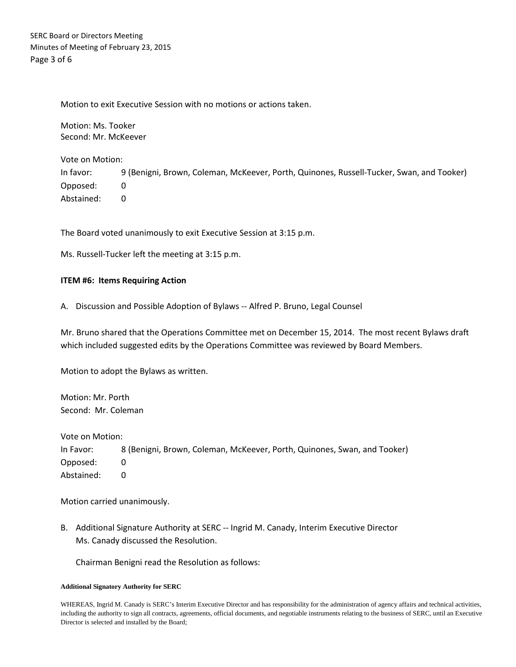SERC Board or Directors Meeting Minutes of Meeting of February 23, 2015 Page 3 of 6

Motion to exit Executive Session with no motions or actions taken.

Motion: Ms. Tooker Second: Mr. McKeever

Vote on Motion: In favor: 9 (Benigni, Brown, Coleman, McKeever, Porth, Quinones, Russell-Tucker, Swan, and Tooker) Opposed: 0 Abstained: 0

The Board voted unanimously to exit Executive Session at 3:15 p.m.

Ms. Russell-Tucker left the meeting at 3:15 p.m.

### **ITEM #6: Items Requiring Action**

A. Discussion and Possible Adoption of Bylaws -- Alfred P. Bruno, Legal Counsel

Mr. Bruno shared that the Operations Committee met on December 15, 2014. The most recent Bylaws draft which included suggested edits by the Operations Committee was reviewed by Board Members.

Motion to adopt the Bylaws as written.

Motion: Mr. Porth Second: Mr. Coleman

Vote on Motion: In Favor: 8 (Benigni, Brown, Coleman, McKeever, Porth, Quinones, Swan, and Tooker) Opposed: 0 Abstained: 0

Motion carried unanimously.

B. Additional Signature Authority at SERC -- Ingrid M. Canady, Interim Executive Director Ms. Canady discussed the Resolution.

Chairman Benigni read the Resolution as follows:

#### **Additional Signatory Authority for SERC**

WHEREAS, Ingrid M. Canady is SERC's Interim Executive Director and has responsibility for the administration of agency affairs and technical activities, including the authority to sign all contracts, agreements, official documents, and negotiable instruments relating to the business of SERC, until an Executive Director is selected and installed by the Board;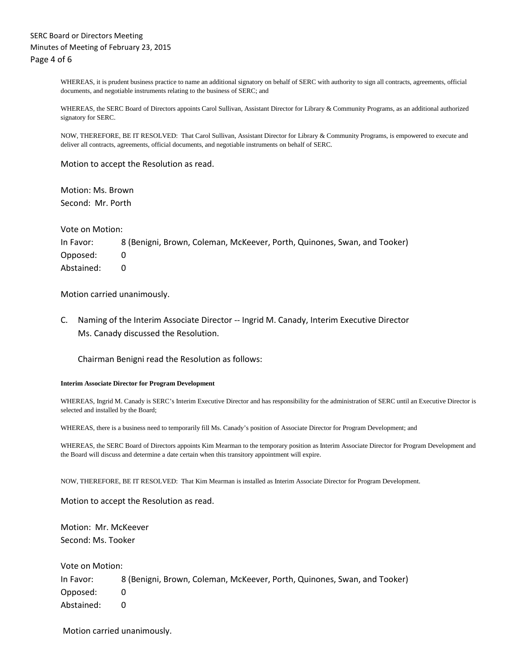WHEREAS, it is prudent business practice to name an additional signatory on behalf of SERC with authority to sign all contracts, agreements, official documents, and negotiable instruments relating to the business of SERC; and

WHEREAS, the SERC Board of Directors appoints Carol Sullivan, Assistant Director for Library & Community Programs, as an additional authorized signatory for SERC.

NOW, THEREFORE, BE IT RESOLVED: That Carol Sullivan, Assistant Director for Library & Community Programs, is empowered to execute and deliver all contracts, agreements, official documents, and negotiable instruments on behalf of SERC.

Motion to accept the Resolution as read.

Motion: Ms. Brown Second: Mr. Porth

Vote on Motion:

In Favor: 8 (Benigni, Brown, Coleman, McKeever, Porth, Quinones, Swan, and Tooker) Opposed: 0 Abstained: 0

Motion carried unanimously.

C. Naming of the Interim Associate Director -- Ingrid M. Canady, Interim Executive Director Ms. Canady discussed the Resolution.

Chairman Benigni read the Resolution as follows:

#### **Interim Associate Director for Program Development**

WHEREAS, Ingrid M. Canady is SERC's Interim Executive Director and has responsibility for the administration of SERC until an Executive Director is selected and installed by the Board;

WHEREAS, there is a business need to temporarily fill Ms. Canady's position of Associate Director for Program Development; and

WHEREAS, the SERC Board of Directors appoints Kim Mearman to the temporary position as Interim Associate Director for Program Development and the Board will discuss and determine a date certain when this transitory appointment will expire.

NOW, THEREFORE, BE IT RESOLVED: That Kim Mearman is installed as Interim Associate Director for Program Development.

Motion to accept the Resolution as read.

Motion: Mr. McKeever Second: Ms. Tooker

Vote on Motion:

In Favor: 8 (Benigni, Brown, Coleman, McKeever, Porth, Quinones, Swan, and Tooker) Opposed: 0 Abstained: 0

Motion carried unanimously.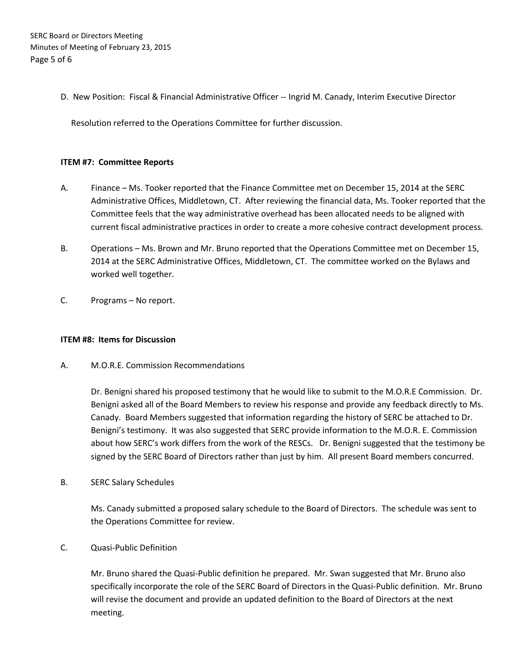SERC Board or Directors Meeting Minutes of Meeting of February 23, 2015 Page 5 of 6

D. New Position: Fiscal & Financial Administrative Officer -- Ingrid M. Canady, Interim Executive Director

Resolution referred to the Operations Committee for further discussion.

### **ITEM #7: Committee Reports**

- A. Finance Ms. Tooker reported that the Finance Committee met on December 15, 2014 at the SERC Administrative Offices, Middletown, CT. After reviewing the financial data, Ms. Tooker reported that the Committee feels that the way administrative overhead has been allocated needs to be aligned with current fiscal administrative practices in order to create a more cohesive contract development process.
- B. Operations Ms. Brown and Mr. Bruno reported that the Operations Committee met on December 15, 2014 at the SERC Administrative Offices, Middletown, CT. The committee worked on the Bylaws and worked well together.
- C. Programs No report.

### **ITEM #8: Items for Discussion**

A. M.O.R.E. Commission Recommendations

Dr. Benigni shared his proposed testimony that he would like to submit to the M.O.R.E Commission. Dr. Benigni asked all of the Board Members to review his response and provide any feedback directly to Ms. Canady. Board Members suggested that information regarding the history of SERC be attached to Dr. Benigni's testimony. It was also suggested that SERC provide information to the M.O.R. E. Commission about how SERC's work differs from the work of the RESCs. Dr. Benigni suggested that the testimony be signed by the SERC Board of Directors rather than just by him. All present Board members concurred.

B. SERC Salary Schedules

Ms. Canady submitted a proposed salary schedule to the Board of Directors. The schedule was sent to the Operations Committee for review.

C. Quasi-Public Definition

Mr. Bruno shared the Quasi-Public definition he prepared. Mr. Swan suggested that Mr. Bruno also specifically incorporate the role of the SERC Board of Directors in the Quasi-Public definition. Mr. Bruno will revise the document and provide an updated definition to the Board of Directors at the next meeting.